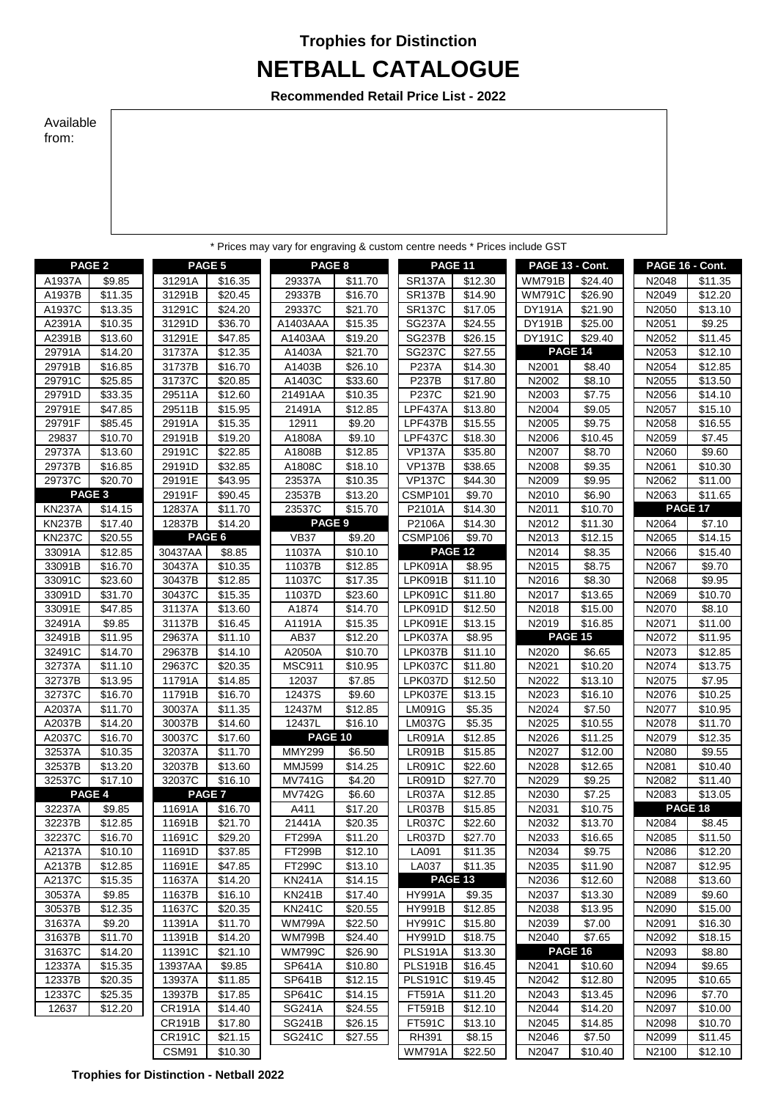## **NETBALL CATALOGUE Trophies for Distinction**

**Recommended Retail Price List - 2022**

## Available from:

|                  |                     |                   |                     | * Prices may vary for engraving & custom centre needs * Prices include GST |                    |                    |                               |                         |                     |                 |                    |
|------------------|---------------------|-------------------|---------------------|----------------------------------------------------------------------------|--------------------|--------------------|-------------------------------|-------------------------|---------------------|-----------------|--------------------|
|                  | PAGE <sub>2</sub>   | PAGE <sub>5</sub> |                     | PAGE 8                                                                     |                    | PAGE 11            |                               | PAGE 13 - Cont.         |                     | PAGE 16 - Cont. |                    |
| A1937A           | \$9.85              | 31291A            | \$16.35             | 29337A                                                                     | \$11.70            | <b>SR137A</b>      | \$12.30                       | <b>WM791B</b>           | \$24.40             | N2048           | \$11.35            |
| A1937B           | \$11.35             | 31291B            | \$20.45             | 29337B                                                                     | \$16.70            | <b>SR137B</b>      | \$14.90                       | <b>WM791C</b>           | \$26.90             | N2049           | \$12.20            |
| A1937C           | \$13.35             | 31291C            | \$24.20             | 29337C                                                                     | \$21.70            | <b>SR137C</b>      | $\overline{$}17.05$           | <b>DY191A</b>           | \$21.90             | N2050           | \$13.10            |
| A2391A           | \$10.35             | 31291D            | \$36.70             | A1403AAA                                                                   | \$15.35            | <b>SG237A</b>      | \$24.55                       | <b>DY191B</b>           | \$25.00             | N2051           | \$9.25             |
| A2391B           | \$13.60             | 31291E            | \$47.85             | A1403AA                                                                    | \$19.20            | <b>SG237B</b>      | \$26.15                       | <b>DY191C</b>           | \$29.40             | N2052           | \$11.45            |
| 29791A           | \$14.20             | 31737A            | \$12.35             | A1403A                                                                     | \$21.70            | <b>SG237C</b>      | \$27.55                       |                         | PAGE 14             | N2053           | \$12.10            |
| 29791B           | \$16.85             | 31737B            | \$16.70             | A1403B                                                                     | \$26.10            | <b>P237A</b>       | \$14.30                       | N2001                   | \$8.40              | N2054           | \$12.85            |
| 29791C           | \$25.85             | 31737C            | \$20.85             | A1403C                                                                     | \$33.60            | <b>P237B</b>       | \$17.80                       | N2002                   | \$8.10              | N2055           | \$13.50            |
| 29791D           | \$33.35             | 29511A            | \$12.60             | 21491AA                                                                    | \$10.35            | P237C              | \$21.90                       | N2003                   | $\overline{$}7.75$  | N2056           | \$14.10            |
| 29791E           | $\overline{$47.85}$ | 29511B            | \$15.95             | 21491A                                                                     | \$12.85            | LPF437A            | $\overline{$}13.80$           | N2004                   | \$9.05              | N2057           | \$15.10            |
| 29791F           | \$85.45             | 29191A            | \$15.35             | 12911                                                                      | \$9.20             | LPF437B            | \$15.55                       | N2005                   | \$9.75              | N2058           | \$16.55            |
| 29837            | \$10.70             | 29191B            | \$19.20             | A1808A                                                                     | \$9.10             | <b>LPF437C</b>     | \$18.30                       | N2006                   | \$10.45             | N2059           | \$7.45             |
| 29737A           | \$13.60             | 29191C            | \$22.85             | A1808B                                                                     | \$12.85            | <b>VP137A</b>      | \$35.80                       | N2007                   | \$8.70              | N2060           | \$9.60             |
| 29737B           | \$16.85             | 29191D            | \$32.85             | A1808C                                                                     | \$18.10            | <b>VP137B</b>      | \$38.65                       | N2008                   | \$9.35              | N2061           | \$10.30            |
| 29737C           | \$20.70             | 29191E            | \$43.95             | 23537A                                                                     | \$10.35            | <b>VP137C</b>      | \$44.30                       | N2009                   | \$9.95              | N2062           | \$11.00            |
|                  | PAGE <sub>3</sub>   | 29191F            | \$90.45             | 23537B                                                                     | \$13.20            | CSMP101            | \$9.70                        | N2010                   | \$6.90              | N2063           | \$11.65            |
| <b>KN237A</b>    | \$14.15             | 12837A            | \$11.70             | 23537C                                                                     | \$15.70            | P2101A             | \$14.30                       | N2011                   | \$10.70             |                 | PAGE 17            |
| <b>KN237B</b>    | $\overline{$}17.40$ | 12837B            | $\sqrt{$14.20}$     | PAGE <sub>9</sub>                                                          |                    | P2106A             | $\overline{$}14.30$           | N2012                   | \$11.30             | N2064           | \$7.10             |
| <b>KN237C</b>    | \$20.55             | PAGE 6            |                     | <b>VB37</b>                                                                | \$9.20             | CSMP106            | \$9.70                        | N2013                   | \$12.15             | N2065           | \$14.15            |
| 33091A           | \$12.85             | 30437AA           | \$8.85              | 11037A                                                                     | \$10.10            | PAGE 12            |                               | N2014                   | \$8.35              | N2066           | \$15.40            |
| 33091B           | \$16.70             | 30437A            | \$10.35             | 11037B                                                                     | \$12.85            | LPK091A            | \$8.95                        | N2015                   | \$8.75              | N2067           | \$9.70             |
| 33091C           | \$23.60             | 30437B            | \$12.85             | 11037C                                                                     | \$17.35            | LPK091B            | \$11.10                       | N2016                   | \$8.30              | N2068           | \$9.95             |
| 33091D           | \$31.70             | 30437C            | \$15.35             | 11037D                                                                     | \$23.60            | <b>LPK091C</b>     | \$11.80                       | N2017                   | \$13.65             | N2069           | \$10.70            |
| 33091E           | \$47.85             | 31137A            | \$13.60<br>\$16.45  | A1874                                                                      | \$14.70            | LPK091D            | \$12.50                       | N2018                   | \$15.00             | N2070           | \$8.10             |
| 32491A           | \$9.85              | 31137B            |                     | A1191A                                                                     | \$15.35            | LPK091E            | \$13.15<br>$\overline{$8.95}$ | N2019<br><b>PAGE 15</b> | \$16.85             | N2071           | \$11.00            |
| 32491B<br>32491C | \$11.95<br>\$14.70  | 29637A<br>29637B  | \$11.10<br>\$14.10  | AB37<br>A2050A                                                             | \$12.20<br>\$10.70 | LPK037A<br>LPK037B | \$11.10                       | N2020                   | \$6.65              | N2072<br>N2073  | \$11.95<br>\$12.85 |
| 32737A           | \$11.10             | 29637C            | \$20.35             | <b>MSC911</b>                                                              | \$10.95            | LPK037C            | \$11.80                       | N2021                   | \$10.20             | N2074           | \$13.75            |
| 32737B           | \$13.95             | 11791A            | \$14.85             | 12037                                                                      | \$7.85             | LPK037D            | \$12.50                       | N2022                   | \$13.10             | N2075           | \$7.95             |
| 32737C           | \$16.70             | 11791B            | \$16.70             | 12437S                                                                     | \$9.60             | LPK037E            | \$13.15                       | N2023                   | \$16.10             | N2076           | \$10.25            |
| A2037A           | \$11.70             | 30037A            | \$11.35             | 12437M                                                                     | \$12.85            | <b>LM091G</b>      | \$5.35                        | N2024                   | \$7.50              | N2077           | \$10.95            |
| A2037B           | \$14.20             | 30037B            | $\overline{$}14.60$ | 12437L                                                                     | \$16.10            | <b>LM037G</b>      | $\overline{$}5.35$            | N2025                   | $\overline{$}10.55$ | N2078           | \$11.70            |
| A2037C           | \$16.70             | 30037C            | \$17.60             | PAGE 10                                                                    |                    | <b>LR091A</b>      | \$12.85                       | N2026                   | \$11.25             | N2079           | \$12.35            |
| 32537A           | \$10.35             | 32037A            | \$11.70             | <b>MMY299</b>                                                              | \$6.50             | <b>LR091B</b>      | \$15.85                       | N2027                   | \$12.00             | N2080           | \$9.55             |
| 32537B           | \$13.20             | 32037B            | \$13.60             | <b>MMJ599</b>                                                              | \$14.25            | <b>LR091C</b>      | \$22.60                       | N2028                   | \$12.65             | N2081           | \$10.40            |
| 32537C           | \$17.10             | 32037C            | \$16.10             | <b>MV741G</b>                                                              | \$4.20             | <b>LR091D</b>      | \$27.70                       | N2029                   | \$9.25              | N2082           | \$11.40            |
|                  | PAGE 4              | PAGE <sub>7</sub> |                     | <b>MV742G</b>                                                              | \$6.60             | <b>LR037A</b>      | \$12.85                       | N2030                   | \$7.25              | N2083           | \$13.05            |
| 32237A           | \$9.85              | 11691A            | \$16.70             | A411                                                                       | \$17.20            | LR037B             | \$15.85                       | N2031                   | \$10.75             |                 | PAGE 18            |
| 32237B           | \$12.85             | 11691B            | \$21.70             | 21441A                                                                     | \$20.35            | LR037C             | \$22.60                       | N2032                   | \$13.70             | N2084           | \$8.45             |
| 32237C           | \$16.70             | 11691C            | \$29.20             | <b>FT299A</b>                                                              | \$11.20            | <b>LR037D</b>      | \$27.70                       | N2033                   | \$16.65             | N2085           | \$11.50            |
| A2137A           | \$10.10             | 11691D            | \$37.85             | FT299B                                                                     | \$12.10            | LA091              | \$11.35                       | N2034                   | \$9.75              | N2086           | \$12.20            |
| A2137B           | \$12.85             | 11691E            | \$47.85             | FT299C                                                                     | \$13.10            | LA037              | \$11.35                       | N <sub>20</sub> 35      | \$11.90             | N2087           | \$12.95            |
| A2137C           | \$15.35             | 11637A            | \$14.20             | <b>KN241A</b>                                                              | \$14.15            | PAGE 13            |                               | N2036                   | \$12.60             | N2088           | \$13.60            |
| 30537A           | \$9.85              | 11637B            | \$16.10             | <b>KN241B</b>                                                              | \$17.40            | <b>HY991A</b>      | \$9.35                        | N2037                   | \$13.30             | N2089           | \$9.60             |
| 30537B           | \$12.35             | 11637C            | \$20.35             | <b>KN241C</b>                                                              | \$20.55            | <b>HY991B</b>      | \$12.85                       | N2038                   | \$13.95             | N2090           | \$15.00            |
| 31637A           | \$9.20              | 11391A            | \$11.70             | <b>WM799A</b>                                                              | \$22.50            | <b>HY991C</b>      | \$15.80                       | N2039                   | \$7.00              | N2091           | \$16.30            |
| 31637B           | \$11.70             | 11391B            | \$14.20             | <b>WM799B</b>                                                              | \$24.40            | <b>HY991D</b>      | \$18.75                       | N2040                   | \$7.65              | N2092           | \$18.15            |
| 31637C           | \$14.20             | 11391C            | \$21.10             | <b>WM799C</b>                                                              | \$26.90            | <b>PLS191A</b>     | \$13.30                       |                         | PAGE 16             | N2093           | \$8.80             |
| 12337A           | \$15.35             | 13937AA           | \$9.85              | <b>SP641A</b>                                                              | \$10.80            | <b>PLS191B</b>     | \$16.45                       | N <sub>2041</sub>       | \$10.60             | N2094           | \$9.65             |
| 12337B           | \$20.35             | 13937A            | \$11.85             | <b>SP641B</b>                                                              | \$12.15            | <b>PLS191C</b>     | \$19.45                       | N2042                   | \$12.80             | N2095           | \$10.65            |
| 12337C           | \$25.35             | 13937B            | \$17.85             | SP641C                                                                     | \$14.15            | <b>FT591A</b>      | \$11.20                       | N2043                   | \$13.45             | N2096           | \$7.70             |
| 12637            | \$12.20             | <b>CR191A</b>     | \$14.40             | <b>SG241A</b>                                                              | \$24.55            | FT591B             | \$12.10                       | N2044                   | \$14.20             | N2097           | \$10.00            |
|                  |                     | <b>CR191B</b>     | \$17.80             | <b>SG241B</b>                                                              | \$26.15            | FT591C             | \$13.10                       | N2045                   | \$14.85             | N2098           | \$10.70            |
|                  |                     | <b>CR191C</b>     | \$21.15             | SG241C                                                                     | \$27.55            | RH391              | \$8.15                        | N2046                   | \$7.50              | N2099           | \$11.45            |
|                  |                     | CSM91             | \$10.30             |                                                                            |                    | WM791A             | \$22.50                       | N2047                   | \$10.40             | N2100           | \$12.10            |

**Trophies for Distinction - Netball 2022**